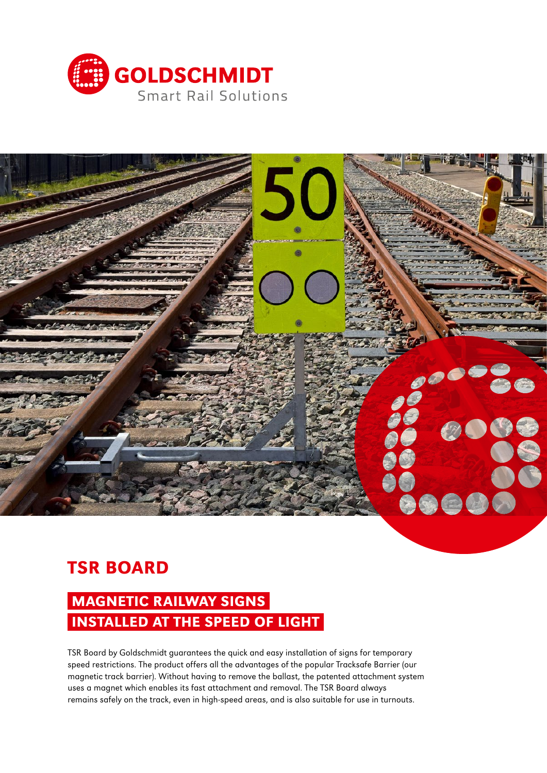



# TSR BOARD

# MAGNETIC RAILWAY SIGNS INSTALLED AT THE SPEED OF LIGHT

TSR Board by Goldschmidt guarantees the quick and easy installation of signs for temporary speed restrictions. The product offers all the advantages of the popular Tracksafe Barrier (our magnetic track barrier). Without having to remove the ballast, the patented attachment system uses a magnet which enables its fast attachment and removal. The TSR Board always remains safely on the track, even in high-speed areas, and is also suitable for use in turnouts.